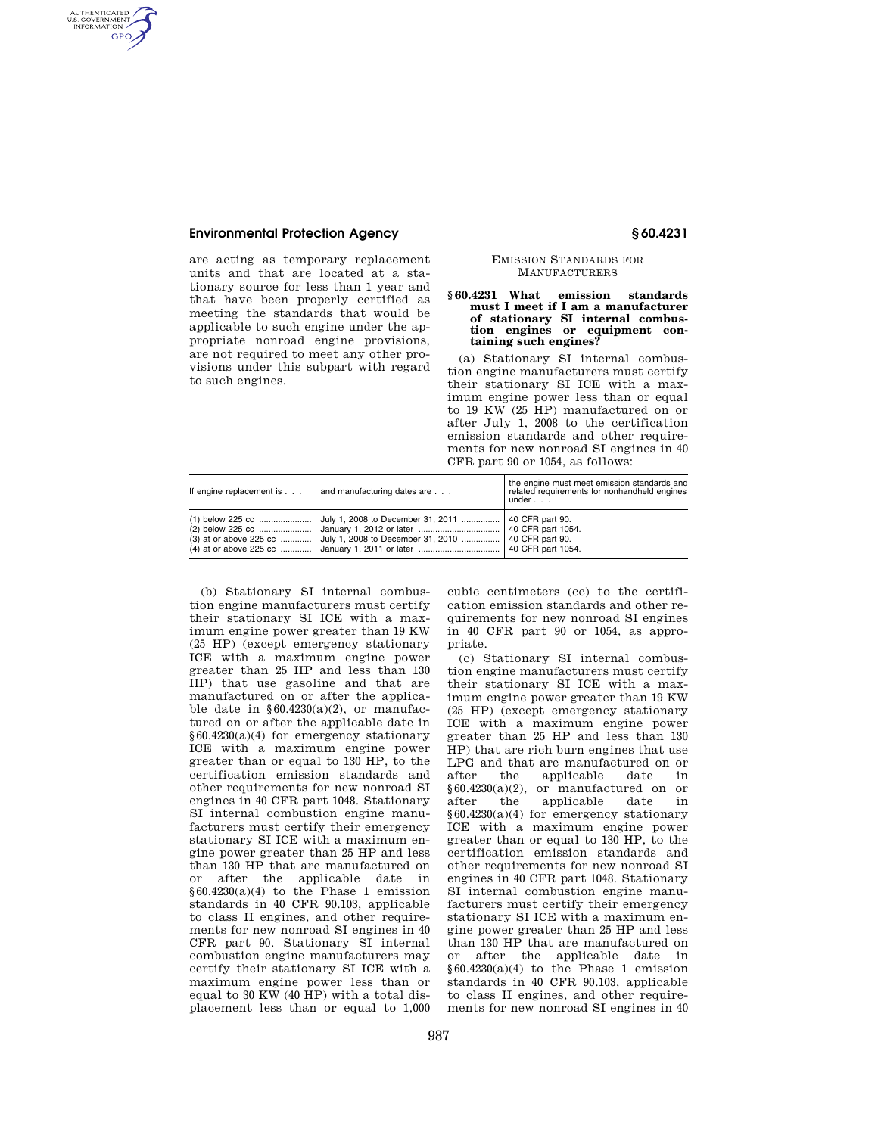## **Environmental Protection Agency § 60.4231**

AUTHENTICATED<br>U.S. GOVERNMENT<br>INFORMATION GPO

> are acting as temporary replacement units and that are located at a stationary source for less than 1 year and that have been properly certified as meeting the standards that would be applicable to such engine under the appropriate nonroad engine provisions, are not required to meet any other provisions under this subpart with regard to such engines.

#### EMISSION STANDARDS FOR **MANUFACTURERS**

### **§ 60.4231 What emission standards must I meet if I am a manufacturer of stationary SI internal combustion engines or equipment containing such engines?**

(a) Stationary SI internal combustion engine manufacturers must certify their stationary SI ICE with a maximum engine power less than or equal to 19 KW (25 HP) manufactured on or after July 1, 2008 to the certification emission standards and other requirements for new nonroad SI engines in 40 CFR part 90 or 1054, as follows:

| If engine replacement is                     | and manufacturing dates are                                            | the engine must meet emission standards and<br>related requirements for nonhandheld engines<br>under $\ldots$ |
|----------------------------------------------|------------------------------------------------------------------------|---------------------------------------------------------------------------------------------------------------|
| $(1)$ below 225 cc<br>(3) at or above 225 cc | July 1, 2008 to December 31, 2011<br>July 1, 2008 to December 31, 2010 | 40 CFR part 90.<br>40 CFR part 90.<br>40 CFR part 1054.                                                       |

(b) Stationary SI internal combustion engine manufacturers must certify their stationary SI ICE with a maximum engine power greater than 19 KW (25 HP) (except emergency stationary ICE with a maximum engine power greater than 25 HP and less than 130 HP) that use gasoline and that are manufactured on or after the applicable date in  $§ 60.4230(a)(2)$ , or manufactured on or after the applicable date in §60.4230(a)(4) for emergency stationary ICE with a maximum engine power greater than or equal to 130 HP, to the certification emission standards and other requirements for new nonroad SI engines in 40 CFR part 1048. Stationary SI internal combustion engine manufacturers must certify their emergency stationary SI ICE with a maximum engine power greater than 25 HP and less than 130 HP that are manufactured on or after the applicable date in  $§60.4230(a)(4)$  to the Phase 1 emission standards in 40 CFR 90.103, applicable to class II engines, and other requirements for new nonroad SI engines in 40 CFR part 90. Stationary SI internal combustion engine manufacturers may certify their stationary SI ICE with a maximum engine power less than or equal to 30 KW (40 HP) with a total displacement less than or equal to 1,000

cubic centimeters (cc) to the certification emission standards and other requirements for new nonroad SI engines in 40 CFR part 90 or 1054, as appropriate.

(c) Stationary SI internal combustion engine manufacturers must certify their stationary SI ICE with a maximum engine power greater than 19 KW (25 HP) (except emergency stationary ICE with a maximum engine power greater than 25 HP and less than 130 HP) that are rich burn engines that use LPG and that are manufactured on or after the applicable date in  $§60.4230(a)(2)$ , or manufactured on or after the applicable date in applicable date in §60.4230(a)(4) for emergency stationary ICE with a maximum engine power greater than or equal to 130 HP, to the certification emission standards and other requirements for new nonroad SI engines in 40 CFR part 1048. Stationary SI internal combustion engine manufacturers must certify their emergency stationary SI ICE with a maximum engine power greater than 25 HP and less than 130 HP that are manufactured on or after the applicable date in  $§60.4230(a)(4)$  to the Phase 1 emission standards in 40 CFR 90.103, applicable to class II engines, and other requirements for new nonroad SI engines in 40